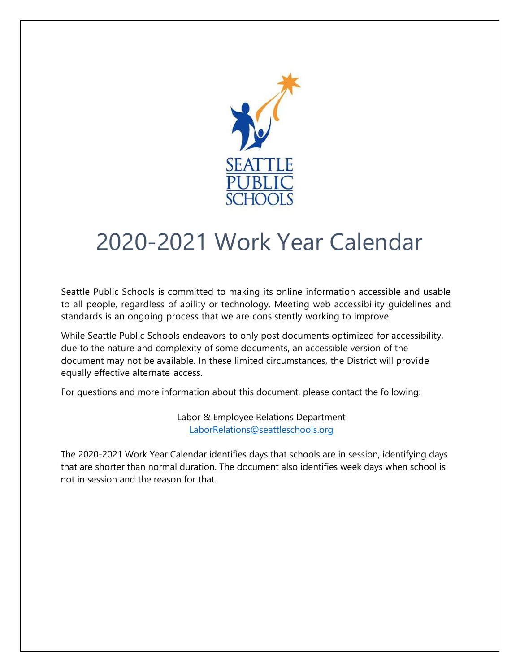

## 2020-2021 Work Year Calendar

Seattle Public Schools is committed to making its online information accessible and usable to all people, regardless of ability or technology. Meeting web accessibility guidelines and standards is an ongoing process that we are consistently working to improve.

While Seattle Public Schools endeavors to only post documents optimized for accessibility, due to the nature and complexity of some documents, an accessible version of the document may not be available. In these limited circumstances, the District will provide equally effective alternate access.

For questions and more information about this document, please contact the following:

Labor & Employee Relations Department [LaborRelations@seattleschools.org](mailto:clcodd@seattleschools.org)

The 2020-2021 Work Year Calendar identifies days that schools are in session, identifying days that are shorter than normal duration. The document also identifies week days when school is not in session and the reason for that.